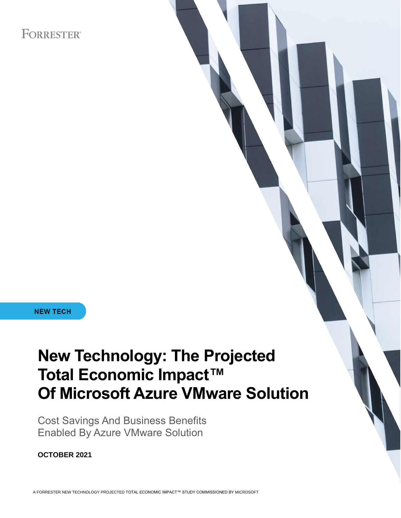# **FORRESTER®**

**NEW TECH** 

# **New Technology: The Projected Total Economic Impact™ Of Microsoft Azure VMware Solution**

Cost Savings And Business Benefits Enabled By Azure VMware Solution

**OCTOBER 2021**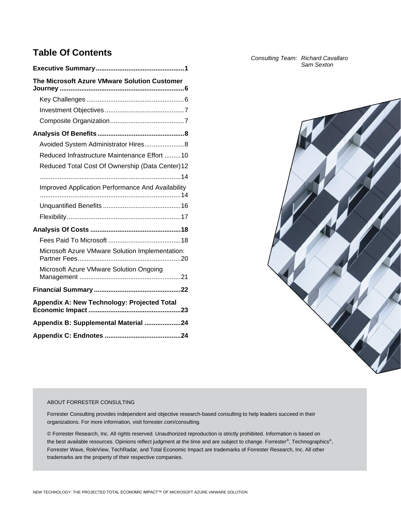# **Table Of Contents**

| The Microsoft Azure VMware Solution Customer      |
|---------------------------------------------------|
|                                                   |
|                                                   |
|                                                   |
|                                                   |
| Avoided System Administrator Hires 8              |
| Reduced Infrastructure Maintenance Effort 10      |
| Reduced Total Cost Of Ownership (Data Center) 12  |
|                                                   |
| Improved Application Performance And Availability |
|                                                   |
|                                                   |
|                                                   |
|                                                   |
| Microsoft Azure VMware Solution Implementation:   |
| Microsoft Azure VMware Solution Ongoing           |
|                                                   |
| Appendix A: New Technology: Projected Total       |
| Appendix B: Supplemental Material 24              |
|                                                   |

*Consulting Team: Richard Cavallaro Sam Sexton*



#### ABOUT FORRESTER CONSULTING

Forrester Consulting provides independent and objective research-based consulting to help leaders succeed in their organizations. For more information, visit forrester.com/consulting.

© Forrester Research, Inc. All rights reserved. Unauthorized reproduction is strictly prohibited. Information is based on the best available resources. Opinions reflect judgment at the time and are subject to change. Forrester®, Technographics®, Forrester Wave, RoleView, TechRadar, and Total Economic Impact are trademarks of Forrester Research, Inc. All other trademarks are the property of their respective companies.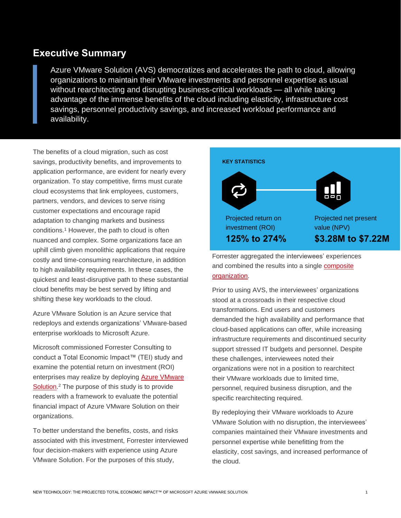# **Executive Summary**

Azure VMware Solution (AVS) democratizes and accelerates the path to cloud, allowing organizations to maintain their VMware investments and personnel expertise as usual without rearchitecting and disrupting business-critical workloads — all while taking advantage of the immense benefits of the cloud including elasticity, infrastructure cost savings, personnel productivity savings, and increased workload performance and availability.

The benefits of a cloud migration, such as cost savings, productivity benefits, and improvements to application performance, are evident for nearly every organization. To stay competitive, firms must curate cloud ecosystems that link employees, customers, partners, vendors, and devices to serve rising customer expectations and encourage rapid adaptation to changing markets and business conditions. <sup>1</sup> However, the path to cloud is often nuanced and complex. Some organizations face an uphill climb given monolithic applications that require costly and time-consuming rearchitecture, in addition to high availability requirements. In these cases, the quickest and least-disruptive path to these substantial cloud benefits may be best served by lifting and shifting these key workloads to the cloud.

Azure VMware Solution is an Azure service that redeploys and extends organizations' VMware-based enterprise workloads to Microsoft Azure.

Microsoft commissioned Forrester Consulting to conduct a Total Economic Impact™ (TEI) study and examine the potential return on investment (ROI) enterprises may realize by deploying [Azure VMware](https://azure.microsoft.com/en-us/services/azure-vmware/)  [Solution.](https://azure.microsoft.com/en-us/services/azure-vmware/)<sup>2</sup> The purpose of this study is to provide readers with a framework to evaluate the potential financial impact of Azure VMware Solution on their organizations.

To better understand the benefits, costs, and risks associated with this investment, Forrester interviewed four decision-makers with experience using Azure VMware Solution. For the purposes of this study,



and combined the results into a single [composite](#page-8-0)  [organization.](#page-8-0)

Prior to using AVS, the interviewees' organizations stood at a crossroads in their respective cloud transformations. End users and customers demanded the high availability and performance that cloud-based applications can offer, while increasing infrastructure requirements and discontinued security support stressed IT budgets and personnel. Despite these challenges, interviewees noted their organizations were not in a position to rearchitect their VMware workloads due to limited time, personnel, required business disruption, and the specific rearchitecting required.

By redeploying their VMware workloads to Azure VMware Solution with no disruption, the interviewees' companies maintained their VMware investments and personnel expertise while benefitting from the elasticity, cost savings, and increased performance of the cloud.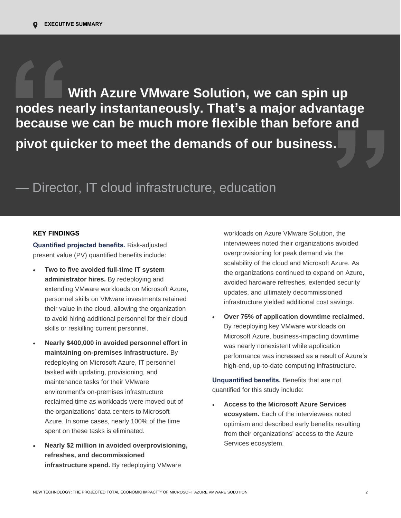**With Azure VMware Solution, we can spin up nodes nearly instantaneously. That's a major advantage because we can be much more flexible than before and pivot quicker to meet the demands of our business.**

# — Director, IT cloud infrastructure, education

# **KEY FINDINGS**

**Quantified projected benefits.** Risk-adjusted present value (PV) quantified benefits include:

- **Two to five avoided full-time IT system administrator hires.** By redeploying and extending VMware workloads on Microsoft Azure, personnel skills on VMware investments retained their value in the cloud, allowing the organization to avoid hiring additional personnel for their cloud skills or reskilling current personnel.
- **Nearly \$400,000 in avoided personnel effort in maintaining on-premises infrastructure.** By redeploying on Microsoft Azure, IT personnel tasked with updating, provisioning, and maintenance tasks for their VMware environment's on-premises infrastructure reclaimed time as workloads were moved out of the organizations' data centers to Microsoft Azure. In some cases, nearly 100% of the time spent on these tasks is eliminated.
- **Nearly \$2 million in avoided overprovisioning, refreshes, and decommissioned infrastructure spend.** By redeploying VMware

workloads on Azure VMware Solution, the interviewees noted their organizations avoided overprovisioning for peak demand via the scalability of the cloud and Microsoft Azure. As the organizations continued to expand on Azure, avoided hardware refreshes, extended security updates, and ultimately decommissioned infrastructure yielded additional cost savings.

• **Over 75% of application downtime reclaimed.** By redeploying key VMware workloads on Microsoft Azure, business-impacting downtime was nearly nonexistent while application performance was increased as a result of Azure's high-end, up-to-date computing infrastructure.

**Unquantified benefits.** Benefits that are not quantified for this study include:

• **Access to the Microsoft Azure Services ecosystem.** Each of the interviewees noted optimism and described early benefits resulting from their organizations' access to the Azure Services ecosystem.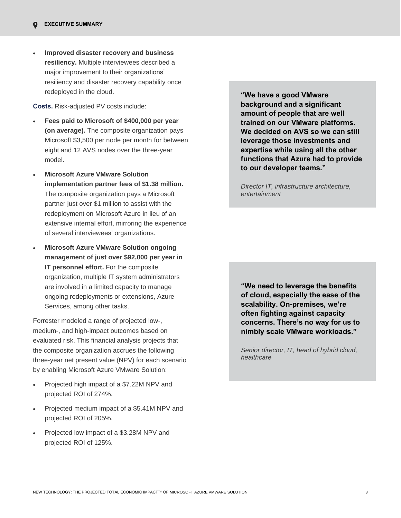• **Improved disaster recovery and business resiliency.** Multiple interviewees described a major improvement to their organizations' resiliency and disaster recovery capability once redeployed in the cloud.

**Costs.** Risk-adjusted PV costs include:

- **Fees paid to Microsoft of \$400,000 per year (on average).** The composite organization pays Microsoft \$3,500 per node per month for between eight and 12 AVS nodes over the three-year model.
- **Microsoft Azure VMware Solution implementation partner fees of \$1.38 million.** The composite organization pays a Microsoft partner just over \$1 million to assist with the redeployment on Microsoft Azure in lieu of an extensive internal effort, mirroring the experience of several interviewees' organizations.
- **Microsoft Azure VMware Solution ongoing management of just over \$92,000 per year in IT personnel effort.** For the composite organization, multiple IT system administrators are involved in a limited capacity to manage ongoing redeployments or extensions, Azure Services, among other tasks.

Forrester modeled a range of projected low-, medium-, and high-impact outcomes based on evaluated risk. This financial analysis projects that the composite organization accrues the following three-year net present value (NPV) for each scenario by enabling Microsoft Azure VMware Solution:

- Projected high impact of a \$7.22M NPV and projected ROI of 274%.
- Projected medium impact of a \$5.41M NPV and projected ROI of 205%.
- Projected low impact of a \$3.28M NPV and projected ROI of 125%.

**"We have a good VMware background and a significant amount of people that are well trained on our VMware platforms. We decided on AVS so we can still leverage those investments and expertise while using all the other functions that Azure had to provide to our developer teams."**

*Director IT, infrastructure architecture, entertainment*

**"We need to leverage the benefits of cloud, especially the ease of the scalability. On-premises, we're often fighting against capacity concerns. There's no way for us to nimbly scale VMware workloads."**

*Senior director, IT, head of hybrid cloud, healthcare*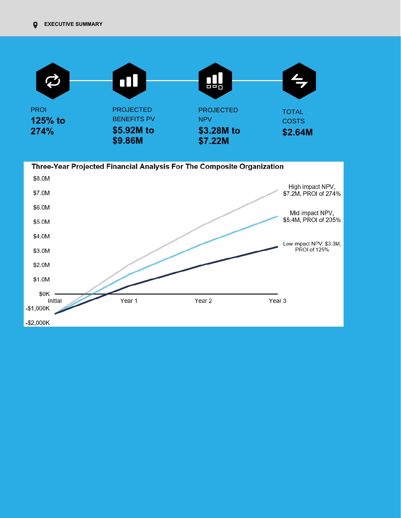

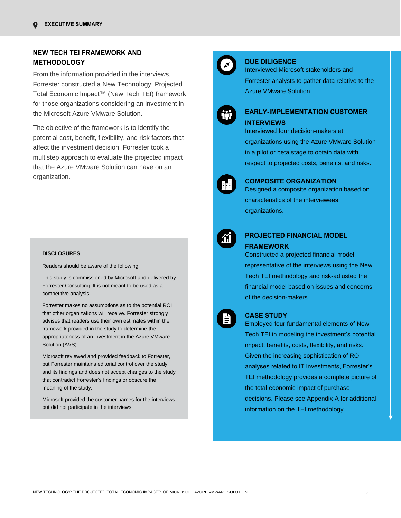# **NEW TECH TEI FRAMEWORK AND METHODOLOGY**

From the information provided in the interviews, Forrester constructed a New Technology: Projected Total Economic Impact™ (New Tech TEI) framework for those organizations considering an investment in the Microsoft Azure VMware Solution.

The objective of the framework is to identify the potential cost, benefit, flexibility, and risk factors that affect the investment decision. Forrester took a multistep approach to evaluate the projected impact that the Azure VMware Solution can have on an organization.

#### **DISCLOSURES**

Readers should be aware of the following:

This study is commissioned by Microsoft and delivered by Forrester Consulting. It is not meant to be used as a competitive analysis.

Forrester makes no assumptions as to the potential ROI that other organizations will receive. Forrester strongly advises that readers use their own estimates within the framework provided in the study to determine the appropriateness of an investment in the Azure VMware Solution (AVS).

Microsoft reviewed and provided feedback to Forrester, but Forrester maintains editorial control over the study and its findings and does not accept changes to the study that contradict Forrester's findings or obscure the meaning of the study.

Microsoft provided the customer names for the interviews but did not participate in the interviews.



#### **DUE DILIGENCE**

Interviewed Microsoft stakeholders and Forrester analysts to gather data relative to the Azure VMware Solution.

# **EARLY-IMPLEMENTATION CUSTOMER INTERVIEWS**

Interviewed four decision-makers at organizations using the Azure VMware Solution in a pilot or beta stage to obtain data with respect to projected costs, benefits, and risks.



## **COMPOSITE ORGANIZATION**

Designed a composite organization based on characteristics of the interviewees' organizations.



# **PROJECTED FINANCIAL MODEL FRAMEWORK**

Constructed a projected financial model representative of the interviews using the New Tech TEI methodology and risk-adjusted the financial model based on issues and concerns of the decision-makers.



#### **CASE STUDY**

Employed four fundamental elements of New Tech TEI in modeling the investment's potential impact: benefits, costs, flexibility, and risks. Given the increasing sophistication of ROI analyses related to IT investments, Forrester's TEI methodology provides a complete picture of the total economic impact of purchase decisions. Please see Appendix A for additional

information on the TEI methodology.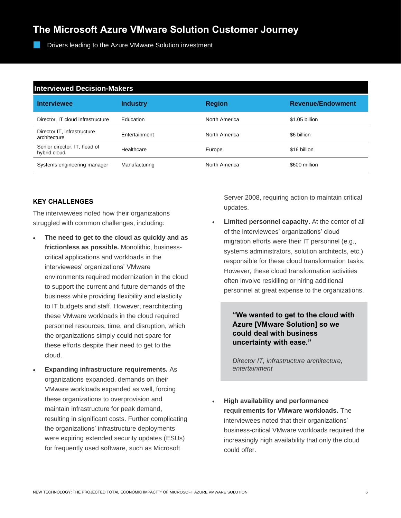# **The Microsoft Azure VMware Solution Customer Journey**

Drivers leading to the Azure VMware Solution investment

| <b>Interviewed Decision-Makers</b>           |                 |               |                          |  |  |  |  |
|----------------------------------------------|-----------------|---------------|--------------------------|--|--|--|--|
| <b>Interviewee</b>                           | <b>Industry</b> | <b>Region</b> | <b>Revenue/Endowment</b> |  |  |  |  |
| Director, IT cloud infrastructure            | Education       | North America | \$1.05 billion           |  |  |  |  |
| Director IT, infrastructure<br>architecture  | Entertainment   | North America | \$6 billion              |  |  |  |  |
| Senior director, IT, head of<br>hybrid cloud | Healthcare      | Europe        | \$16 billion             |  |  |  |  |
| Systems engineering manager                  | Manufacturing   | North America | \$600 million            |  |  |  |  |

# **KEY CHALLENGES**

The interviewees noted how their organizations struggled with common challenges, including:

- **The need to get to the cloud as quickly and as frictionless as possible.** Monolithic, businesscritical applications and workloads in the interviewees' organizations' VMware environments required modernization in the cloud to support the current and future demands of the business while providing flexibility and elasticity to IT budgets and staff. However, rearchitecting these VMware workloads in the cloud required personnel resources, time, and disruption, which the organizations simply could not spare for these efforts despite their need to get to the cloud.
- **Expanding infrastructure requirements.** As organizations expanded, demands on their VMware workloads expanded as well, forcing these organizations to overprovision and maintain infrastructure for peak demand, resulting in significant costs. Further complicating the organizations' infrastructure deployments were expiring extended security updates (ESUs) for frequently used software, such as Microsoft

Server 2008, requiring action to maintain critical updates.

**Limited personnel capacity.** At the center of all of the interviewees' organizations' cloud migration efforts were their IT personnel (e.g., systems administrators, solution architects, etc.) responsible for these cloud transformation tasks. However, these cloud transformation activities often involve reskilling or hiring additional personnel at great expense to the organizations.

# **"We wanted to get to the cloud with Azure [VMware Solution] so we could deal with business uncertainty with ease."**

*Director IT, infrastructure architecture, entertainment* 

• **High availability and performance requirements for VMware workloads.** The interviewees noted that their organizations' business-critical VMware workloads required the increasingly high availability that only the cloud could offer.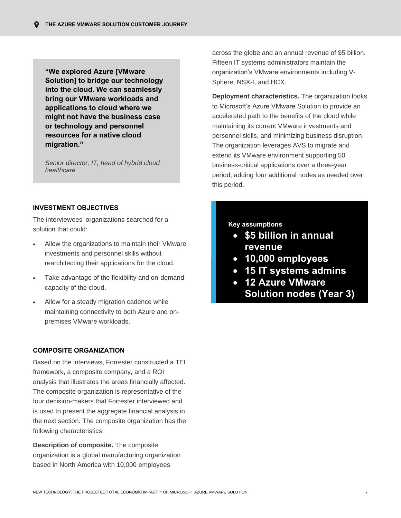**"We explored Azure [VMware Solution] to bridge our technology into the cloud. We can seamlessly bring our VMware workloads and applications to cloud where we might not have the business case or technology and personnel resources for a native cloud migration."**

*Senior director, IT, head of hybrid cloud healthcare* 

## **INVESTMENT OBJECTIVES**

The interviewees' organizations searched for a solution that could:

- Allow the organizations to maintain their VMware investments and personnel skills without rearchitecting their applications for the cloud.
- Take advantage of the flexibility and on-demand capacity of the cloud.
- Allow for a steady migration cadence while maintaining connectivity to both Azure and onpremises VMware workloads.

## <span id="page-8-0"></span>**COMPOSITE ORGANIZATION**

Based on the interviews, Forrester constructed a TEI framework, a composite company, and a ROI analysis that illustrates the areas financially affected. The composite organization is representative of the four decision-makers that Forrester interviewed and is used to present the aggregate financial analysis in the next section. The composite organization has the following characteristics:

**Description of composite.** The composite organization is a global manufacturing organization based in North America with 10,000 employees

across the globe and an annual revenue of \$5 billion. Fifteen IT systems administrators maintain the organization's VMware environments including V-Sphere, NSX-t, and HCX.

**Deployment characteristics.** The organization looks to Microsoft's Azure VMware Solution to provide an accelerated path to the benefits of the cloud while maintaining its current VMware investments and personnel skills, and minimizing business disruption. The organization leverages AVS to migrate and extend its VMware environment supporting 50 business-critical applications over a three-year period, adding four additional nodes as needed over this period.

# **Key assumptions**

- **\$5 billion in annual revenue**
- **10,000 employees**
- **15 IT systems admins**
- **12 Azure VMware Solution nodes (Year 3)**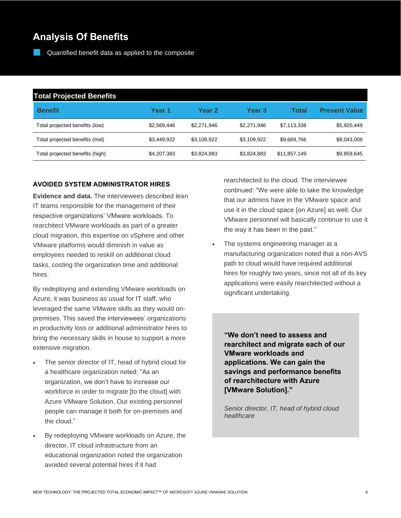# **Analysis Of Benefits**

Quantified benefit data as applied to the composite

| <b>Total Projected Benefits</b> |             |             |             |              |                      |  |  |
|---------------------------------|-------------|-------------|-------------|--------------|----------------------|--|--|
| <b>Benefit</b>                  | Year 1      | Year 2      | Year 3      | Total        | <b>Present Value</b> |  |  |
| Total projected benefits (low)  | \$2,569,446 | \$2.271.946 | \$2,271,946 | \$7,113,338  | \$5,920,449          |  |  |
| Total projected benefits (mid)  | \$3,449,922 | \$3,109,922 | \$3.109.922 | \$9,669,766  | \$8,043,006          |  |  |
| Total projected benefits (high) | \$4,207,383 | \$3,824,883 | \$3,824,883 | \$11,857,149 | \$9,859,645          |  |  |

# **AVOIDED SYSTEM ADMINISTRATOR HIRES**

**Evidence and data.** The interviewees described lean IT teams responsible for the management of their respective organizations' VMware workloads. To rearchitect VMware workloads as part of a greater cloud migration, this expertise on vSphere and other VMware platforms would diminish in value as employees needed to reskill on additional cloud tasks, costing the organization time and additional hires.

By redeploying and extending VMware workloads on Azure, it was business as usual for IT staff, who leveraged the same VMware skills as they would onpremises. This saved the interviewees' organizations in productivity loss or additional administrator hires to bring the necessary skills in house to support a more extensive migration.

- The senior director of IT, head of hybrid cloud for a healthcare organization noted: "As an organization, we don't have to increase our workforce in order to migrate [to the cloud] with Azure VMware Solution. Our existing personnel people can manage it both for on-premises and the cloud."
- By redeploying VMware workloads on Azure, the director, IT cloud infrastructure from an educational organization noted the organization avoided several potential hires if it had

rearchitected to the cloud. The interviewee continued: "We were able to take the knowledge that our admins have in the VMware space and use it in the cloud space [on Azure] as well. Our VMware personnel will basically continue to use it the way it has been in the past."

The systems engineering manager at a manufacturing organization noted that a non-AVS path to cloud would have required additional hires for roughly two years, since not all of its key applications were easily rearchitected without a significant undertaking.

**"We don't need to assess and rearchitect and migrate each of our VMware workloads and applications. We can gain the savings and performance benefits of rearchitecture with Azure [VMware Solution]."**

*Senior director, IT, head of hybrid cloud healthcare*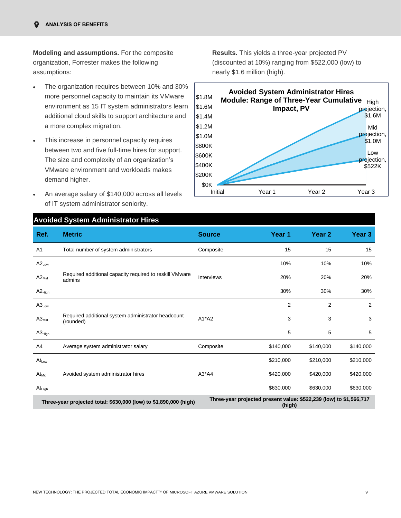**Modeling and assumptions.** For the composite organization, Forrester makes the following assumptions:

- The organization requires between 10% and 30% more personnel capacity to maintain its VMware environment as 15 IT system administrators learn additional cloud skills to support architecture and a more complex migration.
- This increase in personnel capacity requires between two and five full-time hires for support. The size and complexity of an organization's VMware environment and workloads makes demand higher.
- An average salary of \$140,000 across all levels of IT system administrator seniority.

**Results.** This yields a three-year projected PV (discounted at 10%) ranging from \$522,000 (low) to nearly \$1.6 million (high).



# **Avoided System Administrator Hires**

| Ref.                                                              | <b>Metric</b>                                                     | <b>Source</b>     | Year 1                                                                       | Year <sub>2</sub> | Year 3    |
|-------------------------------------------------------------------|-------------------------------------------------------------------|-------------------|------------------------------------------------------------------------------|-------------------|-----------|
| A1                                                                | Total number of system administrators                             | Composite         | 15                                                                           | 15                | 15        |
| $A2_{Low}$                                                        |                                                                   |                   | 10%                                                                          | 10%               | 10%       |
| $A2_{Mid}$                                                        | Required additional capacity required to reskill VMware<br>admins | <b>Interviews</b> | 20%                                                                          | 20%               | 20%       |
| $A2_{High}$                                                       |                                                                   |                   | 30%                                                                          | 30%               | 30%       |
| $A3_{Low}$                                                        |                                                                   |                   | $\overline{2}$                                                               | $\overline{c}$    | 2         |
| $A3_{Mid}$                                                        | Required additional system administrator headcount<br>(rounded)   | $A1^*A2$          | 3                                                                            | 3                 | 3         |
| $A3_{High}$                                                       |                                                                   |                   | 5                                                                            | 5                 | 5         |
| A4                                                                | Average system administrator salary                               | Composite         | \$140,000                                                                    | \$140,000         | \$140,000 |
| $At_{Low}$                                                        |                                                                   |                   | \$210,000                                                                    | \$210,000         | \$210,000 |
| $At_{Mid}$                                                        | Avoided system administrator hires                                | $A3^*AA$          | \$420,000                                                                    | \$420,000         | \$420,000 |
| $\mathsf{At}_{\mathsf{High}}$                                     |                                                                   |                   | \$630,000                                                                    | \$630,000         | \$630,000 |
| Three-year projected total: \$630,000 (low) to \$1,890,000 (high) |                                                                   |                   | Three-year projected present value: \$522,239 (low) to \$1,566,717<br>(high) |                   |           |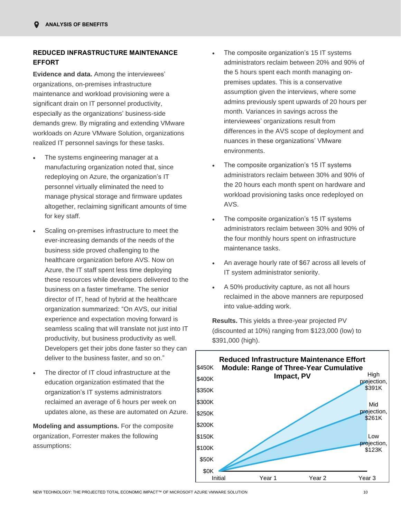# **REDUCED INFRASTRUCTURE MAINTENANCE EFFORT**

**Evidence and data.** Among the interviewees' organizations, on-premises infrastructure maintenance and workload provisioning were a significant drain on IT personnel productivity, especially as the organizations' business-side demands grew. By migrating and extending VMware workloads on Azure VMware Solution, organizations realized IT personnel savings for these tasks.

- The systems engineering manager at a manufacturing organization noted that, since redeploying on Azure, the organization's IT personnel virtually eliminated the need to manage physical storage and firmware updates altogether, reclaiming significant amounts of time for key staff.
- Scaling on-premises infrastructure to meet the ever-increasing demands of the needs of the business side proved challenging to the healthcare organization before AVS. Now on Azure, the IT staff spent less time deploying these resources while developers delivered to the business on a faster timeframe. The senior director of IT, head of hybrid at the healthcare organization summarized: "On AVS, our initial experience and expectation moving forward is seamless scaling that will translate not just into IT productivity, but business productivity as well. Developers get their jobs done faster so they can deliver to the business faster, and so on."
- The director of IT cloud infrastructure at the education organization estimated that the organization's IT systems administrators reclaimed an average of 6 hours per week on updates alone, as these are automated on Azure.

**Modeling and assumptions.** For the composite organization, Forrester makes the following assumptions:

- The composite organization's 15 IT systems administrators reclaim between 20% and 90% of the 5 hours spent each month managing onpremises updates. This is a conservative assumption given the interviews, where some admins previously spent upwards of 20 hours per month. Variances in savings across the interviewees' organizations result from differences in the AVS scope of deployment and nuances in these organizations' VMware environments.
- The composite organization's 15 IT systems administrators reclaim between 30% and 90% of the 20 hours each month spent on hardware and workload provisioning tasks once redeployed on AVS.
- The composite organization's 15 IT systems administrators reclaim between 30% and 90% of the four monthly hours spent on infrastructure maintenance tasks.
- An average hourly rate of \$67 across all levels of IT system administrator seniority.
- A 50% productivity capture, as not all hours reclaimed in the above manners are repurposed into value-adding work.

**Results.** This yields a three-year projected PV (discounted at 10%) ranging from \$123,000 (low) to \$391,000 (high).

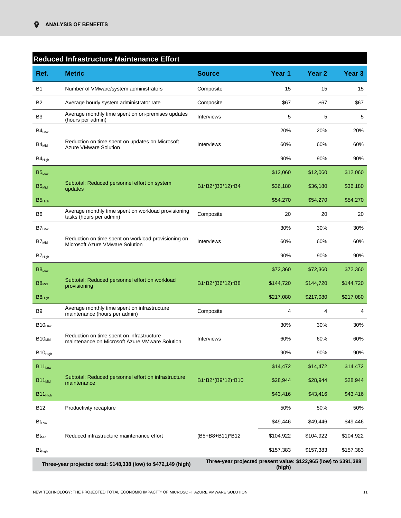|                     | Reduced Infrastructure Maintenance Effort                                                   |                                                                  |           |                   |                   |
|---------------------|---------------------------------------------------------------------------------------------|------------------------------------------------------------------|-----------|-------------------|-------------------|
| Ref.                | <b>Metric</b>                                                                               | <b>Source</b>                                                    | Year 1    | Year <sub>2</sub> | Year <sub>3</sub> |
| B1                  | Number of VMware/system administrators                                                      | Composite                                                        | 15        | 15                | 15                |
| B2                  | Average hourly system administrator rate                                                    | Composite                                                        | \$67      | \$67              | \$67              |
| B <sub>3</sub>      | Average monthly time spent on on-premises updates<br>(hours per admin)                      | Interviews                                                       | 5         | 5                 | 5                 |
| $B4_{Low}$          |                                                                                             |                                                                  | 20%       | 20%               | 20%               |
| $B4_{\mathsf{Mid}}$ | Reduction on time spent on updates on Microsoft<br><b>Azure VMware Solution</b>             | Interviews                                                       | 60%       | 60%               | 60%               |
| $B4_{High}$         |                                                                                             |                                                                  | 90%       | 90%               | 90%               |
| B5 <sub>Low</sub>   |                                                                                             |                                                                  | \$12,060  | \$12,060          | \$12,060          |
| $B5_{Mid}$          | Subtotal: Reduced personnel effort on system<br>updates                                     | B1*B2*(B3*12)*B4                                                 | \$36,180  | \$36,180          | \$36,180          |
| $B5_{High}$         |                                                                                             |                                                                  | \$54,270  | \$54,270          | \$54,270          |
| B6                  | Average monthly time spent on workload provisioning<br>tasks (hours per admin)              | Composite                                                        | 20        | 20                | 20                |
| $B7_{Low}$          |                                                                                             |                                                                  | 30%       | 30%               | 30%               |
| $B7_{Mid}$          | Reduction on time spent on workload provisioning on<br>Microsoft Azure VMware Solution      | Interviews                                                       | 60%       | 60%               | 60%               |
| $B7_{High}$         |                                                                                             |                                                                  | 90%       | 90%               | 90%               |
| B8 <sub>Low</sub>   |                                                                                             |                                                                  | \$72,360  | \$72,360          | \$72,360          |
| $B8_{Mid}$          | Subtotal: Reduced personnel effort on workload<br>provisioning                              | B1*B2*(B6*12)*B8                                                 | \$144,720 | \$144,720         | \$144,720         |
| $B8_{High}$         |                                                                                             |                                                                  | \$217,080 | \$217,080         | \$217,080         |
| B9                  | Average monthly time spent on infrastructure<br>maintenance (hours per admin)               | Composite                                                        | 4         | 4                 | 4                 |
| $B10_{Low}$         |                                                                                             |                                                                  | 30%       | 30%               | 30%               |
| $B10_{Mid}$         | Reduction on time spent on infrastructure<br>maintenance on Microsoft Azure VMware Solution | Interviews                                                       | 60%       | 60%               | 60%               |
| $B10_{High}$        |                                                                                             |                                                                  | 90%       | 90%               | 90%               |
| $B11_{Low}$         |                                                                                             |                                                                  | \$14,472  | \$14,472          | \$14,472          |
| $B11_{Mid}$         | Subtotal: Reduced personnel effort on infrastructure<br>maintenance                         | B1*B2*(B9*12)*B10                                                | \$28,944  | \$28,944          | \$28,944          |
| B11 <sub>High</sub> |                                                                                             |                                                                  | \$43,416  | \$43,416          | \$43,416          |
| <b>B12</b>          | Productivity recapture                                                                      |                                                                  | 50%       | 50%               | 50%               |
| $Bt_{Low}$          |                                                                                             |                                                                  | \$49,446  | \$49,446          | \$49,446          |
| $Bt_{Mid}$          | Reduced infrastructure maintenance effort                                                   | (B5+B8+B11)*B12                                                  | \$104,922 | \$104,922         | \$104,922         |
| $Bt_{High}$         |                                                                                             |                                                                  | \$157,383 | \$157,383         | \$157,383         |
|                     | Three-year projected total: \$148,338 (low) to \$472,149 (high)                             | Three-year projected present value: \$122,965 (low) to \$391,388 | (high)    |                   |                   |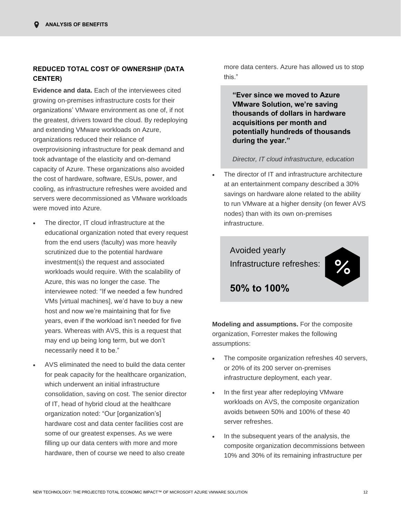# **REDUCED TOTAL COST OF OWNERSHIP (DATA CENTER)**

**Evidence and data.** Each of the interviewees cited growing on-premises infrastructure costs for their organizations' VMware environment as one of, if not the greatest, drivers toward the cloud. By redeploying and extending VMware workloads on Azure, organizations reduced their reliance of overprovisioning infrastructure for peak demand and took advantage of the elasticity and on-demand capacity of Azure. These organizations also avoided the cost of hardware, software, ESUs, power, and cooling, as infrastructure refreshes were avoided and servers were decommissioned as VMware workloads were moved into Azure.

- The director, IT cloud infrastructure at the educational organization noted that every request from the end users (faculty) was more heavily scrutinized due to the potential hardware investment(s) the request and associated workloads would require. With the scalability of Azure, this was no longer the case. The interviewee noted: "If we needed a few hundred VMs [virtual machines], we'd have to buy a new host and now we're maintaining that for five years, even if the workload isn't needed for five years. Whereas with AVS, this is a request that may end up being long term, but we don't necessarily need it to be."
- AVS eliminated the need to build the data center for peak capacity for the healthcare organization, which underwent an initial infrastructure consolidation, saving on cost. The senior director of IT, head of hybrid cloud at the healthcare organization noted: "Our [organization's] hardware cost and data center facilities cost are some of our greatest expenses. As we were filling up our data centers with more and more hardware, then of course we need to also create

more data centers. Azure has allowed us to stop this."

**"Ever since we moved to Azure VMware Solution, we're saving thousands of dollars in hardware acquisitions per month and potentially hundreds of thousands during the year."**

#### *Director, IT cloud infrastructure, education*

The director of IT and infrastructure architecture at an entertainment company described a 30% savings on hardware alone related to the ability to run VMware at a higher density (on fewer AVS nodes) than with its own on-premises infrastructure.

# Avoided yearly Infrastructure refreshes:



**Modeling and assumptions.** For the composite organization, Forrester makes the following assumptions:

- The composite organization refreshes 40 servers, or 20% of its 200 server on-premises infrastructure deployment, each year.
- In the first year after redeploying VMware workloads on AVS, the composite organization avoids between 50% and 100% of these 40 server refreshes.
- In the subsequent years of the analysis, the composite organization decommissions between 10% and 30% of its remaining infrastructure per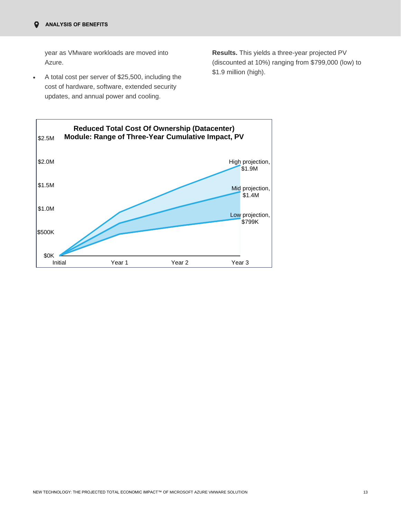year as VMware workloads are moved into Azure.

• A total cost per server of \$25,500, including the cost of hardware, software, extended security updates, and annual power and cooling.

**Results.** This yields a three-year projected PV (discounted at 10%) ranging from \$799,000 (low) to \$1.9 million (high).

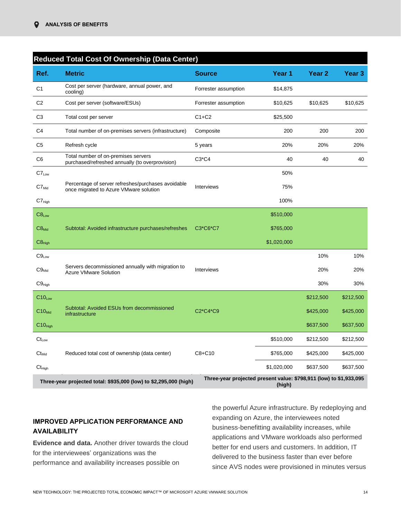|                               | <b>Reduced Total Cost Of Ownership (Data Center)</b>                                         |                                                                    |             |                   |                   |
|-------------------------------|----------------------------------------------------------------------------------------------|--------------------------------------------------------------------|-------------|-------------------|-------------------|
| Ref.                          | <b>Metric</b>                                                                                | <b>Source</b>                                                      | Year 1      | Year <sub>2</sub> | Year <sub>3</sub> |
| C <sub>1</sub>                | Cost per server (hardware, annual power, and<br>cooling)                                     | Forrester assumption                                               | \$14,875    |                   |                   |
| C <sub>2</sub>                | Cost per server (software/ESUs)                                                              | Forrester assumption                                               | \$10,625    | \$10,625          | \$10,625          |
| C <sub>3</sub>                | Total cost per server                                                                        | $C1+C2$                                                            | \$25,500    |                   |                   |
| C <sub>4</sub>                | Total number of on-premises servers (infrastructure)                                         | Composite                                                          | 200         | 200               | 200               |
| C5                            | Refresh cycle                                                                                | 5 years                                                            | 20%         | 20%               | 20%               |
| C <sub>6</sub>                | Total number of on-premises servers<br>purchased/refreshed annually (to overprovision)       | $C3*C4$                                                            | 40          | 40                | 40                |
| $C7_{Low}$                    |                                                                                              |                                                                    | 50%         |                   |                   |
| $C7_{Mid}$                    | Percentage of server refreshes/purchases avoidable<br>once migrated to Azure VMware solution | Interviews                                                         | 75%         |                   |                   |
| $C7_{\text{High}}$            |                                                                                              |                                                                    | 100%        |                   |                   |
| $C8_{Low}$                    |                                                                                              |                                                                    | \$510,000   |                   |                   |
| $C8_{Mid}$                    | Subtotal: Avoided infrastructure purchases/refreshes                                         | C3*C6*C7                                                           | \$765,000   |                   |                   |
| $C8_{High}$                   |                                                                                              |                                                                    | \$1,020,000 |                   |                   |
| $C9_{Low}$                    |                                                                                              |                                                                    |             | 10%               | 10%               |
| $C9_{Mid}$                    | Servers decommissioned annually with migration to<br><b>Azure VMware Solution</b>            | Interviews                                                         |             | 20%               | 20%               |
| $C9_{High}$                   |                                                                                              |                                                                    |             | 30%               | 30%               |
| $C10_{Low}$                   |                                                                                              |                                                                    |             | \$212,500         | \$212,500         |
| $C10_{Mid}$                   | Subtotal: Avoided ESUs from decommissioned<br>infrastructure                                 | C2*C4*C9                                                           |             | \$425,000         | \$425,000         |
| $C10_{High}$                  |                                                                                              |                                                                    |             | \$637,500         | \$637,500         |
| $\mathsf{Ct}_{\mathsf{Low}}$  |                                                                                              |                                                                    | \$510,000   | \$212,500         | \$212,500         |
| $\mathsf{Ct}_\mathsf{Mid}$    | Reduced total cost of ownership (data center)                                                | $C8 + C10$                                                         | \$765,000   | \$425,000         | \$425,000         |
| $\mathsf{Ct}_{\mathsf{Hich}}$ |                                                                                              |                                                                    | \$1,020,000 | \$637,500         | \$637,500         |
|                               | Three-year projected total: \$935,000 (low) to \$2,295,000 (high)                            | Three-year projected present value: \$798,911 (low) to \$1,933,095 | (high)      |                   |                   |

# **IMPROVED APPLICATION PERFORMANCE AND AVAILABILITY**

**Evidence and data.** Another driver towards the cloud for the interviewees' organizations was the performance and availability increases possible on

the powerful Azure infrastructure. By redeploying and expanding on Azure, the interviewees noted business-benefitting availability increases, while applications and VMware workloads also performed better for end users and customers. In addition, IT delivered to the business faster than ever before since AVS nodes were provisioned in minutes versus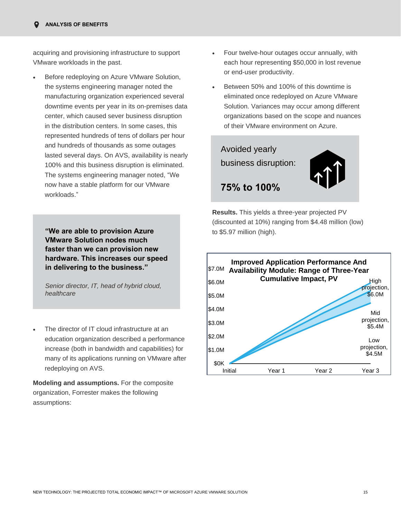acquiring and provisioning infrastructure to support VMware workloads in the past.

• Before redeploying on Azure VMware Solution, the systems engineering manager noted the manufacturing organization experienced several downtime events per year in its on-premises data center, which caused sever business disruption in the distribution centers. In some cases, this represented hundreds of tens of dollars per hour and hundreds of thousands as some outages lasted several days. On AVS, availability is nearly 100% and this business disruption is eliminated. The systems engineering manager noted, "We now have a stable platform for our VMware workloads."

**"We are able to provision Azure to \$5.97 million (high). VMware Solution nodes much faster than we can provision new hardware. This increases our speed in delivering to the business."**

*Senior director, IT, head of hybrid cloud, healthcare* 

The director of IT cloud infrastructure at an education organization described a performance increase (both in bandwidth and capabilities) for many of its applications running on VMware after redeploying on AVS.

**Modeling and assumptions.** For the composite organization, Forrester makes the following assumptions:

- Four twelve-hour outages occur annually, with each hour representing \$50,000 in lost revenue or end-user productivity.
- Between 50% and 100% of this downtime is eliminated once redeployed on Azure VMware Solution. Variances may occur among different organizations based on the scope and nuances of their VMware environment on Azure.



**Results.** This yields a three-year projected PV (discounted at 10%) ranging from \$4.48 million (low)

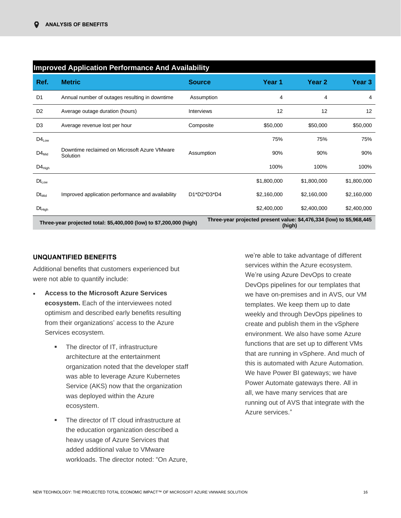|                                                                                                                                                       | <b>Improved Application Performance And Availability</b> |               |             |                   |             |  |  |  |  |
|-------------------------------------------------------------------------------------------------------------------------------------------------------|----------------------------------------------------------|---------------|-------------|-------------------|-------------|--|--|--|--|
| Ref.                                                                                                                                                  | <b>Metric</b>                                            | <b>Source</b> | Year 1      | Year <sub>2</sub> | Year 3      |  |  |  |  |
| D <sub>1</sub>                                                                                                                                        | Annual number of outages resulting in downtime           | Assumption    | 4           | 4                 | 4           |  |  |  |  |
| D <sub>2</sub>                                                                                                                                        | Average outage duration (hours)                          | Interviews    | 12          | 12                | 12          |  |  |  |  |
| D <sub>3</sub>                                                                                                                                        | Average revenue lost per hour                            | Composite     | \$50,000    | \$50,000          | \$50,000    |  |  |  |  |
| $D4_{Low}$                                                                                                                                            |                                                          |               | 75%         | 75%               | 75%         |  |  |  |  |
| $D4_{Mid}$                                                                                                                                            | Downtime reclaimed on Microsoft Azure VMware<br>Solution | Assumption    | 90%         | 90%               | 90%         |  |  |  |  |
| $D4_{High}$                                                                                                                                           |                                                          |               | 100%        | 100%              | 100%        |  |  |  |  |
| $Dt_{Low}$                                                                                                                                            |                                                          |               | \$1,800,000 | \$1,800,000       | \$1,800,000 |  |  |  |  |
| $Dt_{Mid}$                                                                                                                                            | Improved application performance and availability        | D1*D2*D3*D4   | \$2,160,000 | \$2,160,000       | \$2,160,000 |  |  |  |  |
| $Dt_{High}$                                                                                                                                           |                                                          |               | \$2,400,000 | \$2,400,000       | \$2,400,000 |  |  |  |  |
| Three-year projected present value: \$4,476,334 (low) to \$5,968,445<br>Three-year projected total: \$5,400,000 (low) to \$7,200,000 (high)<br>(high) |                                                          |               |             |                   |             |  |  |  |  |

# **UNQUANTIFIED BENEFITS**

Additional benefits that customers experienced but were not able to quantify include:

- **Access to the Microsoft Azure Services ecosystem.** Each of the interviewees noted optimism and described early benefits resulting from their organizations' access to the Azure Services ecosystem.
	- The director of IT, infrastructure architecture at the entertainment organization noted that the developer staff was able to leverage Azure Kubernetes Service (AKS) now that the organization was deployed within the Azure ecosystem.
	- The director of IT cloud infrastructure at the education organization described a heavy usage of Azure Services that added additional value to VMware workloads. The director noted: "On Azure,

we're able to take advantage of different services within the Azure ecosystem. We're using Azure DevOps to create DevOps pipelines for our templates that we have on-premises and in AVS, our VM templates. We keep them up to date weekly and through DevOps pipelines to create and publish them in the vSphere environment. We also have some Azure functions that are set up to different VMs that are running in vSphere. And much of this is automated with Azure Automation. We have Power BI gateways; we have Power Automate gateways there. All in all, we have many services that are running out of AVS that integrate with the Azure services."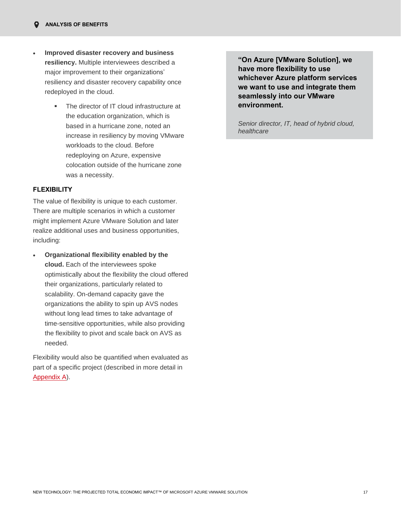- **Improved disaster recovery and business resiliency.** Multiple interviewees described a major improvement to their organizations' resiliency and disaster recovery capability once redeployed in the cloud.
	- The director of IT cloud infrastructure at the education organization, which is based in a hurricane zone, noted an increase in resiliency by moving VMware workloads to the cloud. Before redeploying on Azure, expensive colocation outside of the hurricane zone was a necessity.

# **FLEXIBILITY**

The value of flexibility is unique to each customer. There are multiple scenarios in which a customer might implement Azure VMware Solution and later realize additional uses and business opportunities, including:

• **Organizational flexibility enabled by the cloud.** Each of the interviewees spoke optimistically about the flexibility the cloud offered their organizations, particularly related to scalability. On-demand capacity gave the organizations the ability to spin up AVS nodes without long lead times to take advantage of time-sensitive opportunities, while also providing the flexibility to pivot and scale back on AVS as needed.

Flexibility would also be quantified when evaluated as part of a specific project (described in more detail in [Appendix A\)](#page-24-0).

**"On Azure [VMware Solution], we have more flexibility to use whichever Azure platform services we want to use and integrate them seamlessly into our VMware environment.** 

*Senior director, IT, head of hybrid cloud, healthcare*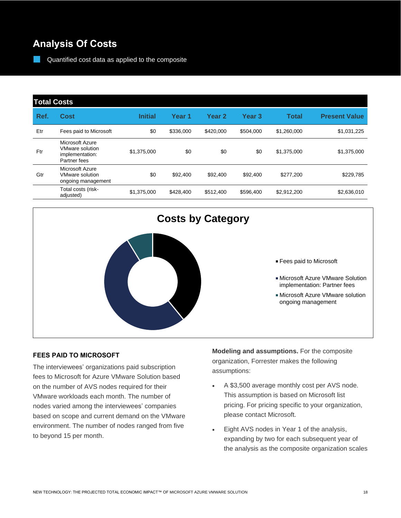# **Analysis Of Costs**

Quantified cost data as applied to the composite

# **Total Costs**

| Ref. | Cost                                                                         | <b>Initial</b> | Year <sub>1</sub> | Year <sub>2</sub> | <b>Year 3</b> | Total       | <b>Present Value</b> |
|------|------------------------------------------------------------------------------|----------------|-------------------|-------------------|---------------|-------------|----------------------|
| Etr  | Fees paid to Microsoft                                                       | \$0            | \$336,000         | \$420,000         | \$504.000     | \$1,260,000 | \$1,031,225          |
| Ftr  | Microsoft Azure<br><b>VMware solution</b><br>implementation:<br>Partner fees | \$1,375,000    | \$0               | \$0               | \$0           | \$1,375,000 | \$1,375,000          |
| Gtr  | Microsoft Azure<br><b>VMware solution</b><br>ongoing management              | \$0            | \$92,400          | \$92,400          | \$92,400      | \$277,200   | \$229,785            |
|      | Total costs (risk-<br>adjusted)                                              | \$1,375,000    | \$428,400         | \$512,400         | \$596,400     | \$2,912,200 | \$2,636,010          |



# **Costs by Category**

#### Fees paid to Microsoft

- Microsoft Azure VMware Solution implementation: Partner fees
- Microsoft Azure VMware solution ongoing management

## **FEES PAID TO MICROSOFT**

The interviewees' organizations paid subscription fees to Microsoft for Azure VMware Solution based on the number of AVS nodes required for their VMware workloads each month. The number of nodes varied among the interviewees' companies based on scope and current demand on the VMware environment. The number of nodes ranged from five to beyond 15 per month.

**Modeling and assumptions.** For the composite organization, Forrester makes the following assumptions:

- A \$3,500 average monthly cost per AVS node. This assumption is based on Microsoft list pricing. For pricing specific to your organization, please contact Microsoft.
- Eight AVS nodes in Year 1 of the analysis, expanding by two for each subsequent year of the analysis as the composite organization scales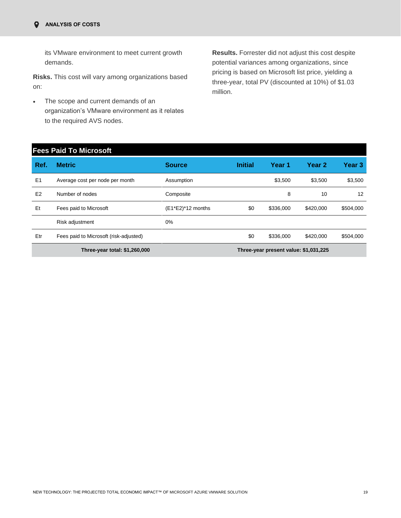its VMware environment to meet current growth demands.

**Risks.** This cost will vary among organizations based on:

• The scope and current demands of an organization's VMware environment as it relates to the required AVS nodes.

**Results.** Forrester did not adjust this cost despite potential variances among organizations, since pricing is based on Microsoft list price, yielding a three-year, total PV (discounted at 10%) of \$1.03 million.

|                               | <b>Fees Paid To Microsoft</b>          |                   |                |                                       |                   |           |
|-------------------------------|----------------------------------------|-------------------|----------------|---------------------------------------|-------------------|-----------|
| Ref.                          | <b>Metric</b>                          | <b>Source</b>     | <b>Initial</b> | Year 1                                | Year <sub>2</sub> | Year 3    |
| E <sub>1</sub>                | Average cost per node per month        | Assumption        |                | \$3,500                               | \$3,500           | \$3,500   |
| E2                            | Number of nodes                        | Composite         |                | 8                                     | 10                | 12        |
| Et                            | Fees paid to Microsoft                 | (E1*E2)*12 months | \$0            | \$336,000                             | \$420,000         | \$504,000 |
|                               | Risk adjustment                        | 0%                |                |                                       |                   |           |
| Etr                           | Fees paid to Microsoft (risk-adjusted) |                   | \$0            | \$336,000                             | \$420,000         | \$504,000 |
| Three-year total: \$1,260,000 |                                        |                   |                | Three-year present value: \$1,031,225 |                   |           |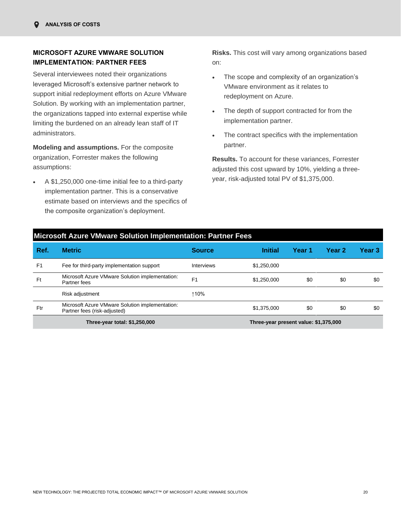# **MICROSOFT AZURE VMWARE SOLUTION IMPLEMENTATION: PARTNER FEES**

Several interviewees noted their organizations leveraged Microsoft's extensive partner network to support initial redeployment efforts on Azure VMware Solution. By working with an implementation partner, the organizations tapped into external expertise while limiting the burdened on an already lean staff of IT administrators.

**Modeling and assumptions.** For the composite organization, Forrester makes the following assumptions:

• A \$1,250,000 one-time initial fee to a third-party implementation partner. This is a conservative estimate based on interviews and the specifics of the composite organization's deployment.

**Risks.** This cost will vary among organizations based on:

- The scope and complexity of an organization's VMware environment as it relates to redeployment on Azure.
- The depth of support contracted for from the implementation partner.
- The contract specifics with the implementation partner.

**Results.** To account for these variances, Forrester adjusted this cost upward by 10%, yielding a threeyear, risk-adjusted total PV of \$1,375,000.

|                | <b>Microsoft Azure VMware Solution Implementation: Partner Fees</b>             |                |                                       |        |        |        |  |
|----------------|---------------------------------------------------------------------------------|----------------|---------------------------------------|--------|--------|--------|--|
| Ref.           | <b>Metric</b>                                                                   | <b>Source</b>  | <b>Initial</b>                        | Year 1 | Year 2 | Year 3 |  |
| F <sub>1</sub> | Fee for third-party implementation support                                      | Interviews     | \$1,250,000                           |        |        |        |  |
| Ft             | Microsoft Azure VMware Solution implementation:<br>Partner fees                 | F <sub>1</sub> | \$1,250,000                           | \$0    | \$0    | \$0    |  |
|                | Risk adjustment                                                                 | ↑10%           |                                       |        |        |        |  |
| Ftr            | Microsoft Azure VMware Solution implementation:<br>Partner fees (risk-adjusted) |                | \$1,375,000                           | \$0    | \$0    | \$0    |  |
|                | Three-year total: \$1,250,000                                                   |                | Three-year present value: \$1,375,000 |        |        |        |  |

# NEW TECHNOLOGY: THE PROJECTED TOTAL ECONOMIC IMPACT™ OF MICROSOFT AZURE VMWARE SOLUTION 20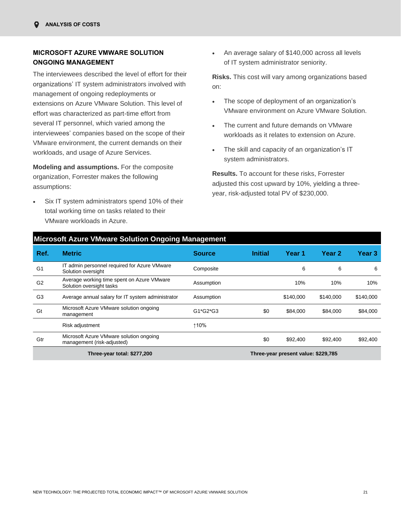# **MICROSOFT AZURE VMWARE SOLUTION ONGOING MANAGEMENT**

The interviewees described the level of effort for their organizations' IT system administrators involved with management of ongoing redeployments or extensions on Azure VMware Solution. This level of effort was characterized as part-time effort from several IT personnel, which varied among the interviewees' companies based on the scope of their VMware environment, the current demands on their workloads, and usage of Azure Services.

**Modeling and assumptions.** For the composite organization, Forrester makes the following assumptions:

Six IT system administrators spend 10% of their total working time on tasks related to their VMware workloads in Azure.

• An average salary of \$140,000 across all levels of IT system administrator seniority.

**Risks.** This cost will vary among organizations based on:

- The scope of deployment of an organization's VMware environment on Azure VMware Solution.
- The current and future demands on VMware workloads as it relates to extension on Azure.
- The skill and capacity of an organization's IT system administrators.

**Results.** To account for these risks, Forrester adjusted this cost upward by 10%, yielding a threeyear, risk-adjusted total PV of \$230,000.

|                | <b>Microsoft Azure VMware Solution Ongoing Management</b>              |               |                |                                     |           |           |
|----------------|------------------------------------------------------------------------|---------------|----------------|-------------------------------------|-----------|-----------|
| Ref.           | <b>Metric</b>                                                          | <b>Source</b> | <b>Initial</b> | Year 1                              | Year 2    | Year 3    |
| G <sub>1</sub> | IT admin personnel required for Azure VMware<br>Solution oversight     | Composite     |                | 6                                   | 6         | 6         |
| G <sub>2</sub> | Average working time spent on Azure VMware<br>Solution oversight tasks | Assumption    |                | 10%                                 | 10%       | 10%       |
| G <sub>3</sub> | Average annual salary for IT system administrator                      | Assumption    |                | \$140,000                           | \$140,000 | \$140,000 |
| Gt             | Microsoft Azure VMware solution ongoing<br>management                  | G1*G2*G3      | \$0            | \$84,000                            | \$84,000  | \$84,000  |
|                | Risk adjustment                                                        | ↑10%          |                |                                     |           |           |
| Gtr            | Microsoft Azure VMware solution ongoing<br>management (risk-adjusted)  |               | \$0            | \$92,400                            | \$92,400  | \$92,400  |
|                | Three-year total: \$277,200                                            |               |                | Three-year present value: \$229,785 |           |           |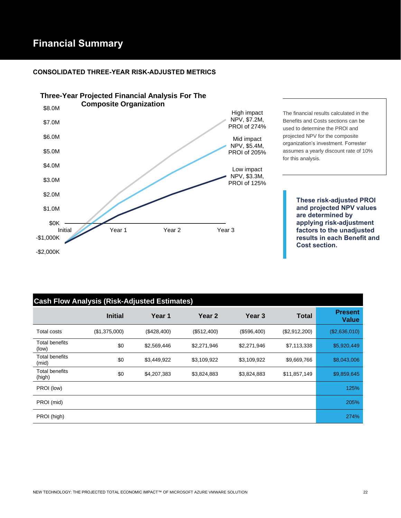# **Financial Summary**

# **CONSOLIDATED THREE-YEAR RISK-ADJUSTED METRICS**



The financial results calculated in the Benefits and Costs sections can be used to determine the PROI and projected NPV for the composite organization's investment. Forrester assumes a yearly discount rate of 10% for this analysis.

> **These risk-adjusted PROI and projected NPV values are determined by applying risk-adjustment factors to the unadjusted results in each Benefit and Cost section.**

| <b>Cash Flow Analysis (Risk-Adjusted Estimates)</b> |                |             |                   |                   |               |                                |
|-----------------------------------------------------|----------------|-------------|-------------------|-------------------|---------------|--------------------------------|
|                                                     | <b>Initial</b> | Year 1      | Year <sub>2</sub> | Year <sub>3</sub> | <b>Total</b>  | <b>Present</b><br><b>Value</b> |
| <b>Total costs</b>                                  | (\$1,375,000)  | (\$428,400) | (\$512,400)       | (\$596,400)       | (\$2,912,200) | (\$2,636,010)                  |
| <b>Total benefits</b><br>(low)                      | \$0            | \$2,569,446 | \$2,271,946       | \$2,271,946       | \$7,113,338   | \$5,920,449                    |
| <b>Total benefits</b><br>(mid)                      | \$0            | \$3,449,922 | \$3,109,922       | \$3,109,922       | \$9,669,766   | \$8,043,006                    |
| <b>Total benefits</b><br>(high)                     | \$0            | \$4,207,383 | \$3,824,883       | \$3,824,883       | \$11,857,149  | \$9,859,645                    |
| PROI (low)                                          |                |             |                   |                   |               | 125%                           |
| PROI (mid)                                          |                |             |                   |                   |               | 205%                           |
| PROI (high)                                         |                |             |                   |                   |               | 274%                           |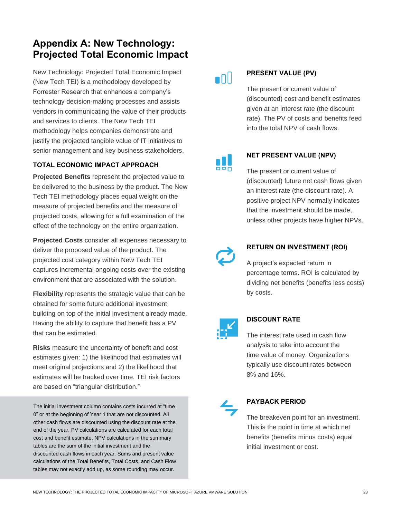# <span id="page-24-0"></span>**Appendix A: New Technology: Projected Total Economic Impact**

New Technology: Projected Total Economic Impact (New Tech TEI) is a methodology developed by Forrester Research that enhances a company's technology decision-making processes and assists vendors in communicating the value of their products and services to clients. The New Tech TEI methodology helps companies demonstrate and justify the projected tangible value of IT initiatives to senior management and key business stakeholders.

# **TOTAL ECONOMIC IMPACT APPROACH**

**Projected Benefits** represent the projected value to be delivered to the business by the product. The New Tech TEI methodology places equal weight on the measure of projected benefits and the measure of projected costs, allowing for a full examination of the effect of the technology on the entire organization.

**Projected Costs** consider all expenses necessary to deliver the proposed value of the product. The projected cost category within New Tech TEI captures incremental ongoing costs over the existing environment that are associated with the solution.

**Flexibility** represents the strategic value that can be obtained for some future additional investment building on top of the initial investment already made. Having the ability to capture that benefit has a PV that can be estimated.

**Risks** measure the uncertainty of benefit and cost estimates given: 1) the likelihood that estimates will meet original projections and 2) the likelihood that estimates will be tracked over time. TEI risk factors are based on "triangular distribution."

The initial investment column contains costs incurred at "time 0" or at the beginning of Year 1 that are not discounted. All other cash flows are discounted using the discount rate at the end of the year. PV calculations are calculated for each total cost and benefit estimate. NPV calculations in the summary tables are the sum of the initial investment and the discounted cash flows in each year. Sums and present value calculations of the Total Benefits, Total Costs, and Cash Flow tables may not exactly add up, as some rounding may occur.

# $\blacksquare$

# **PRESENT VALUE (PV)**

The present or current value of (discounted) cost and benefit estimates given at an interest rate (the discount rate). The PV of costs and benefits feed into the total NPV of cash flows.



# **NET PRESENT VALUE (NPV)**

The present or current value of (discounted) future net cash flows given an interest rate (the discount rate). A positive project NPV normally indicates that the investment should be made, unless other projects have higher NPVs.



# **RETURN ON INVESTMENT (ROI)**

A project's expected return in percentage terms. ROI is calculated by dividing net benefits (benefits less costs) by costs.



## **DISCOUNT RATE**

The interest rate used in cash flow analysis to take into account the time value of money. Organizations typically use discount rates between 8% and 16%.



# **PAYBACK PERIOD**

The breakeven point for an investment. This is the point in time at which net benefits (benefits minus costs) equal initial investment or cost.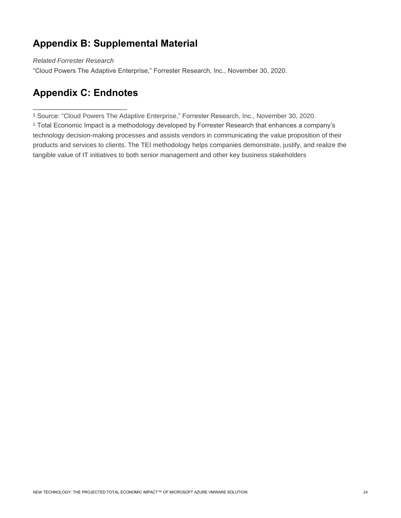# **Appendix B: Supplemental Material**

*Related Forrester Research*

"Cloud Powers The Adaptive Enterprise," Forrester Research, Inc., November 30, 2020.

# **Appendix C: Endnotes**

<sup>1</sup> Source: "Cloud Powers The Adaptive Enterprise," Forrester Research, Inc., November 30, 2020.

<sup>2</sup> Total Economic Impact is a methodology developed by Forrester Research that enhances a company's technology decision-making processes and assists vendors in communicating the value proposition of their products and services to clients. The TEI methodology helps companies demonstrate, justify, and realize the tangible value of IT initiatives to both senior management and other key business stakeholders